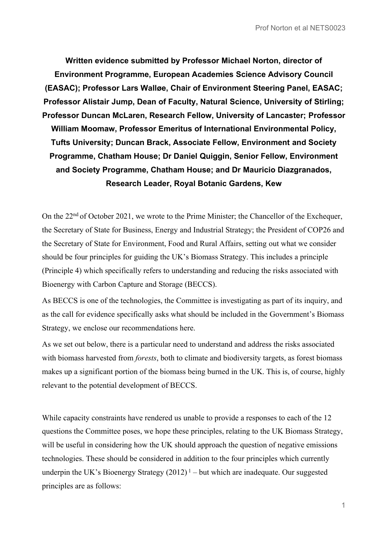**Written evidence submitted by Professor Michael Norton, director of Environment Programme, European Academies Science Advisory Council (EASAC); Professor Lars Walløe, Chair of Environment Steering Panel, EASAC; Professor Alistair Jump, Dean of Faculty, Natural Science, University of Stirling; Professor Duncan McLaren, Research Fellow, University of Lancaster; Professor William Moomaw, Professor Emeritus of International Environmental Policy, Tufts University; Duncan Brack, Associate Fellow, Environment and Society Programme, Chatham House; Dr Daniel Quiggin, Senior Fellow, Environment and Society Programme, Chatham House; and Dr Mauricio Diazgranados, Research Leader, Royal Botanic Gardens, Kew**

On the 22nd of October 2021, we wrote to the Prime Minister; the Chancellor of the Exchequer, the Secretary of State for Business, Energy and Industrial Strategy; the President of COP26 and the Secretary of State for Environment, Food and Rural Affairs, setting out what we consider should be four principles for guiding the UK's Biomass Strategy. This includes a principle (Principle 4) which specifically refers to understanding and reducing the risks associated with Bioenergy with Carbon Capture and Storage (BECCS).

As BECCS is one of the technologies, the Committee is investigating as part of its inquiry, and as the call for evidence specifically asks what should be included in the Government's Biomass Strategy, we enclose our recommendations here.

As we set out below, there is a particular need to understand and address the risks associated with biomass harvested from *forests*, both to climate and biodiversity targets, as forest biomass makes up a significant portion of the biomass being burned in the UK. This is, of course, highly relevant to the potential development of BECCS.

While capacity constraints have rendered us unable to provide a responses to each of the 12 questions the Committee poses, we hope these principles, relating to the UK Biomass Strategy, will be useful in considering how the UK should approach the question of negative emissions technologies. These should be considered in addition to the four principles which currently underpin the UK's Bioenergy Strategy  $(2012)^1$  – but which are inadequate. Our suggested principles are as follows: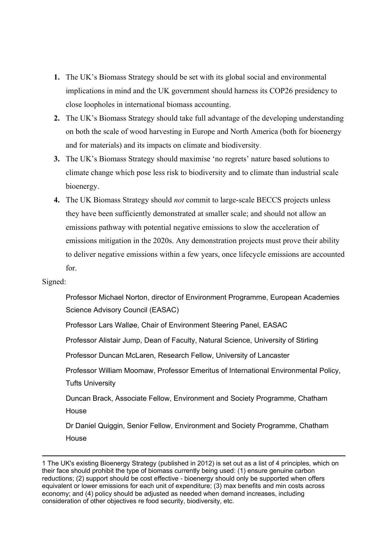- **1.** The UK's Biomass Strategy should be set with its global social and environmental implications in mind and the UK government should harness its COP26 presidency to close loopholes in international biomass accounting.
- **2.** The UK's Biomass Strategy should take full advantage of the developing understanding on both the scale of wood harvesting in Europe and North America (both for bioenergy and for materials) and its impacts on climate and biodiversity.
- **3.** The UK's Biomass Strategy should maximise 'no regrets' nature based solutions to climate change which pose less risk to biodiversity and to climate than industrial scale bioenergy.
- **4.** The UK Biomass Strategy should *not* commit to large-scale BECCS projects unless they have been sufficiently demonstrated at smaller scale; and should not allow an emissions pathway with potential negative emissions to slow the acceleration of emissions mitigation in the 2020s. Any demonstration projects must prove their ability to deliver negative emissions within a few years, once lifecycle emissions are accounted for.

#### Signed:

Professor Michael Norton, director of Environment Programme, European Academies Science Advisory Council (EASAC)

Professor Lars Walløe, Chair of Environment Steering Panel, EASAC

Professor Alistair Jump, Dean of Faculty, Natural Science, University of Stirling

Professor Duncan McLaren, Research Fellow, University of Lancaster

Professor William Moomaw, Professor Emeritus of International Environmental Policy, Tufts University

Duncan Brack, Associate Fellow, Environment and Society Programme, Chatham House

Dr Daniel Quiggin, Senior Fellow, Environment and Society Programme, Chatham House

1 The UK's existing [Bioenergy](https://www.gov.uk/government/publications/uk-bioenergy-strategy) [Strategy](https://www.gov.uk/government/publications/uk-bioenergy-strategy) (published in 2012) is set out as a list of 4 principles, which on their face should prohibit the type of biomass currently being used: (1) ensure genuine carbon reductions; (2) support should be cost effective - bioenergy should only be supported when offers equivalent or lower emissions for each unit of expenditure; (3) max benefits and min costs across economy; and (4) policy should be adjusted as needed when demand increases, including consideration of other objectives re food security, biodiversity, etc.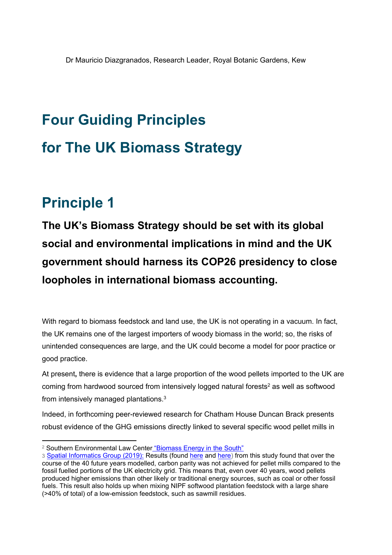# **Four Guiding Principles for The UK Biomass Strategy**

### **Principle 1**

**The UK's Biomass Strategy should be set with its global social and environmental implications in mind and the UK government should harness its COP26 presidency to close loopholes in international biomass accounting.**

With regard to biomass feedstock and land use, the UK is not operating in a vacuum. In fact, the UK remains one of the largest importers of woody biomass in the world; so, the risks of unintended consequences are large, and the UK could become a model for poor practice or good practice.

At present**,** there is evidence that a large proportion of the wood pellets imported to the UK are coming from hardwood sourced from intensively logged natural forests<sup>2</sup> as well as softwood from intensively managed plantations.<sup>3</sup>

Indeed, in forthcoming peer-reviewed research for Chatham House Duncan Brack presents robust evidence of the GHG emissions directly linked to several specific wood pellet mills in

<sup>&</sup>lt;sup>2</sup> Southe[r](https://www.southernenvironment.org/cases-and-projects/biomass-energy-in-the-south)n Environmental Law Center ["Biomass](https://www.southernenvironment.org/cases-and-projects/biomass-energy-in-the-south) [Energy](https://www.southernenvironment.org/cases-and-projects/biomass-energy-in-the-south) [in](https://www.southernenvironment.org/cases-and-projects/biomass-energy-in-the-south) [the](https://www.southernenvironment.org/cases-and-projects/biomass-energy-in-the-south) [South"](https://www.southernenvironment.org/cases-and-projects/biomass-energy-in-the-south)

<sup>3</sup> [Spatial](https://sig-gis.com/projects/carbon-emissions-estimates-from-trees-in-southeastern-us/) [Informatics](https://sig-gis.com/projects/carbon-emissions-estimates-from-trees-in-southeastern-us/) [Group](https://sig-gis.com/projects/carbon-emissions-estimates-from-trees-in-southeastern-us/) [\(2019\):](https://sig-gis.com/projects/carbon-emissions-estimates-from-trees-in-southeastern-us/) Results (found [here](https://www.southernenvironment.org/uploads/publications/2019-05-27_Drax_emissions_-_SIG_report_Phase_II.PDF) and [here\)](https://www.southernenvironment.org/uploads/publications/Drax_emissions_-_SIG_report_Phase_1_2018-10-25.PDF) from this study found that over the course of the 40 future years modelled, carbon parity was not achieved for pellet mills compared to the fossil fuelled portions of the UK electricity grid. This means that, even over 40 years, wood pellets produced higher emissions than other likely or traditional energy sources, such as coal or other fossil fuels. This result also holds up when mixing NIPF softwood plantation feedstock with a large share (>40% of total) of a low-emission feedstock, such as sawmill residues.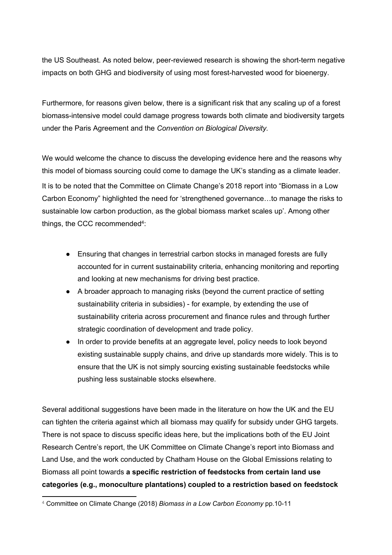the US Southeast. As noted below, peer-reviewed research is showing the short-term negative impacts on both GHG and biodiversity of using most forest-harvested wood for bioenergy.

Furthermore, for reasons given below, there is a significant risk that any scaling up of a forest biomass-intensive model could damage progress towards both climate and biodiversity targets under the Paris Agreement and the *Convention on Biological Diversity.*

We would welcome the chance to discuss the developing evidence here and the reasons why this model of biomass sourcing could come to damage the UK's standing as a climate leader. It is to be noted that the Committee on Climate Change's 2018 report into "Biomass in a Low Carbon Economy" highlighted the need for 'strengthened governance…to manage the risks to sustainable low carbon production, as the global biomass market scales up'. Among other things, the CCC recommended<sup>4</sup>:

- Ensuring that changes in terrestrial carbon stocks in managed forests are fully accounted for in current sustainability criteria, enhancing monitoring and reporting and looking at new mechanisms for driving best practice.
- A broader approach to managing risks (beyond the current practice of setting sustainability criteria in subsidies) - for example, by extending the use of sustainability criteria across procurement and finance rules and through further strategic coordination of development and trade policy.
- In order to provide benefits at an aggregate level, policy needs to look beyond existing sustainable supply chains, and drive up standards more widely. This is to ensure that the UK is not simply sourcing existing sustainable feedstocks while pushing less sustainable stocks elsewhere.

Several additional suggestions have been made in the literature on how the UK and the EU can tighten the criteria against which all biomass may qualify for subsidy under GHG targets. There is not space to discuss specific ideas here, but the implications both of the EU Joint Research Centre's report, the UK Committee on Climate Change's report into Biomass and Land Use, and the work conducted by Chatham House on the Global Emissions relating to Biomass all point towards **a specific restriction of feedstocks from certain land use categories (e.g., monoculture plantations) coupled to a restriction based on feedstock**

<sup>4</sup> Committee on Climate Change (2018) *Biomass in a Low Carbon Economy* pp.10-11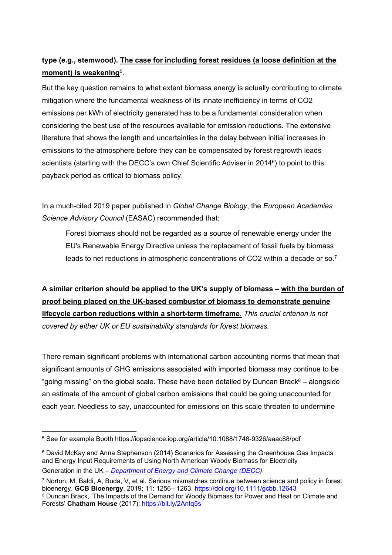### **type (e.g., stemwood). The case for including forest residues (a loose definition at the moment) is weakening**<sup>5</sup> .

But the key question remains to what extent biomass energy is actually contributing to climate mitigation where the fundamental weakness of its innate inefficiency in terms of CO2 emissions per kWh of electricity generated has to be a fundamental consideration when considering the best use of the resources available for emission reductions. The extensive literature that shows the length and uncertainties in the delay between initial increases in emissions to the atmosphere before they can be compensated by forest regrowth leads scientists (starting with the DECC's own Chief Scientific Adviser in 2014<sup>6</sup>) to point to this payback period as critical to biomass policy.

In a much-cited 2019 paper published in *Global Change Biology*, the *European Academies Science Advisory Council* (EASAC) recommended that:

Forest biomass should not be regarded as a source of renewable energy under the EU's Renewable Energy Directive unless the replacement of fossil fuels by biomass leads to net reductions in atmospheric concentrations of CO2 within a decade or so.<sup>7</sup>

**A similar criterion should be applied to the UK's supply of biomass – with the burden of proof being placed on the UK-based combustor of biomass to demonstrate genuine lifecycle carbon reductions within a short-term timeframe**. *This crucial criterion is not covered by either UK or EU sustainability standards for forest biomass.*

There remain significant problems with international carbon accounting norms that mean that significant amounts of GHG emissions associated with imported biomass may continue to be "going missing" on the global scale. These have been detailed by Duncan Brack $8 -$  alongside an estimate of the amount of global carbon emissions that could be going unaccounted for each year. Needless to say, unaccounted for emissions on this scale threaten to undermine

<sup>5</sup> See for example Booth <https://iopscience.iop.org/article/10.1088/1748-9326/aaac88/pdf>

<sup>6</sup> David McKay and Anna Stephenson (2014) Scenarios for Assessing the Greenhouse Gas Impacts and Energy Input Requirements of Using North American Woody Biomass for Electricity Generation in the UK – *[Department](https://www.gov.uk/government/publications/life-cycle-impacts-of-biomass-electricity-in-2020) [of](https://www.gov.uk/government/publications/life-cycle-impacts-of-biomass-electricity-in-2020) [Energy](https://www.gov.uk/government/publications/life-cycle-impacts-of-biomass-electricity-in-2020) [and](https://www.gov.uk/government/publications/life-cycle-impacts-of-biomass-electricity-in-2020) [Climate](https://www.gov.uk/government/publications/life-cycle-impacts-of-biomass-electricity-in-2020) [Change](https://www.gov.uk/government/publications/life-cycle-impacts-of-biomass-electricity-in-2020) [\(DECC\)](https://www.gov.uk/government/publications/life-cycle-impacts-of-biomass-electricity-in-2020)*

<sup>7</sup> Norton, M, Baldi, A, Buda, V, et al. Serious mismatches continue between science and policy in forest bioenergy. **GCB Bioenergy**. 2019; 11: 1256– 1263. <https://doi.org/10.1111/gcbb.12643>

<sup>&</sup>lt;sup>8</sup> Duncan Brack, 'The Impacts of the Demand for Woody Biomass for Power and Heat on Climate and Forests' **Chatham House** (2017): <https://bit.ly/2AnIq5s>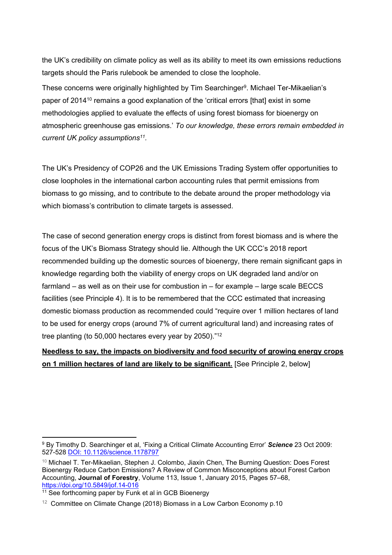the UK's credibility on climate policy as well as its ability to meet its own emissions reductions targets should the Paris rulebook be amended to close the loophole.

These concerns were originally highlighted by Tim Searchinger<sup>9</sup>. Michael Ter-Mikaelian's paper of 2014<sup>10</sup> remains a good explanation of the 'critical errors [that] exist in some methodologies applied to evaluate the effects of using forest biomass for bioenergy on atmospheric greenhouse gas emissions.' *To our knowledge, these errors remain embedded in current UK policy assumptions<sup>11</sup> .*

The UK's Presidency of COP26 and the UK Emissions Trading System offer opportunities to close loopholes in the international carbon accounting rules that permit emissions from biomass to go missing, and to contribute to the debate around the proper methodology via which biomass's contribution to climate targets is assessed.

The case of second generation energy crops is distinct from forest biomass and is where the focus of the UK's Biomass Strategy should lie. Although the UK CCC's 2018 report recommended building up the domestic sources of bioenergy, there remain significant gaps in knowledge regarding both the viability of energy crops on UK degraded land and/or on farmland – as well as on their use for combustion in – for example – large scale BECCS facilities (see Principle 4). It is to be remembered that the CCC estimated that increasing domestic biomass production as recommended could "require over 1 million hectares of land to be used for energy crops (around 7% of current agricultural land) and increasing rates of tree planting (to 50,000 hectares every year by 2050)."<sup>12</sup>

#### **Needless to say, the impacts on biodiversity and food security of growing energy crops on 1 million hectares of land are likely to be significant.** [See Principle 2, below]

<sup>9</sup> By Timothy D. Searchinger et al, 'Fixing a Critical Climate Accounting Error' *Science* 23 Oct 2009: 527-528 [DOI:](https://science.sciencemag.org/content/326/5952/527) [10.1126/science.1178797](https://science.sciencemag.org/content/326/5952/527)

<sup>10</sup> Michael T. Ter-Mikaelian, Stephen J. Colombo, Jiaxin Chen, The Burning Question: Does Forest Bioenergy Reduce Carbon Emissions? A Review of Common Misconceptions about Forest Carbon Accounting, **Journal of Forestry**, Volume 113, Issue 1, January 2015, Pages 57–68, <https://doi.org/10.5849/jof.14-016>

<sup>&</sup>lt;sup>11</sup> See forthcoming paper by Funk et al in GCB Bioenergy

 $12$  Committee on Climate Change (2018) Biomass in a Low Carbon Economy p.10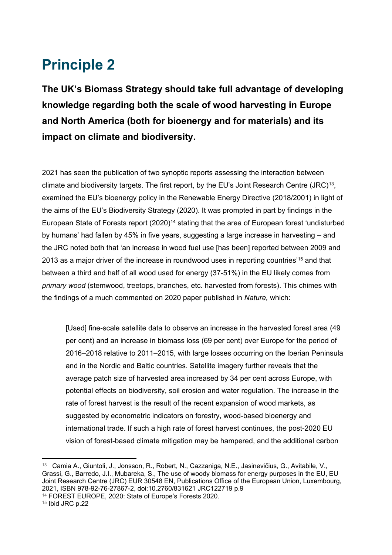### **Principle 2**

**The UK's Biomass Strategy should take full advantage of developing knowledge regarding both the scale of wood harvesting in Europe and North America (both for bioenergy and for materials) and its impact on climate and biodiversity.**

2021 has seen the publication of two synoptic reports assessing the interaction between climate and biodiversity targets. The first report, by the EU's Joint Research Centre (JRC)<sup>13</sup>, examined the EU's bioenergy policy in the Renewable Energy Directive (2018/2001) in light of the aims of the EU's Biodiversity Strategy (2020). It was prompted in part by findings in the European State of Forests report (2020)<sup>14</sup> stating that the area of European forest 'undisturbed by humans' had fallen by 45% in five years, suggesting a large increase in harvesting – and the JRC noted both that 'an increase in wood fuel use [has been] reported between 2009 and 2013 as a major driver of the increase in roundwood uses in reporting countries'<sup>15</sup> and that between a third and half of all wood used for energy (37-51%) in the EU likely comes from *primary wood* (stemwood, treetops, branches, etc. harvested from forests). This chimes with the findings of a much commented on 2020 paper published in *Nature,* which:

[Used] fine-scale satellite data to observe an increase in the harvested forest area (49 per cent) and an increase in biomass loss (69 per cent) over Europe for the period of 2016–2018 relative to 2011–2015, with large losses occurring on the Iberian Peninsula and in the Nordic and Baltic countries. Satellite imagery further reveals that the average patch size of harvested area increased by 34 per cent across Europe, with potential effects on biodiversity, soil erosion and water regulation. The increase in the rate of forest harvest is the result of the recent expansion of wood markets, as suggested by econometric indicators on forestry, wood-based bioenergy and international trade. If such a high rate of forest harvest continues, the post-2020 EU vision of forest-based climate mitigation may be hampered, and the additional carbon

<sup>&</sup>lt;sup>13</sup> Camia A., Giuntoli, J., Jonsson, R., Robert, N., Cazzaniga, N.E., Jasinevičius, G., Avitabile, V., Grassi, G., Barredo, J.I., Mubareka, S., The use of woody biomass for energy purposes in the EU, EU Joint Research Centre (JRC) EUR 30548 EN, Publications Office of the European Union, Luxembourg, 2021, ISBN 978-92-76-27867-2, doi:10.2760/831621 JRC122719 p.9

<sup>14</sup> FOREST EUROPE, 2020: State of Europe's Forests 2020.

<sup>15</sup> Ibid JRC p.22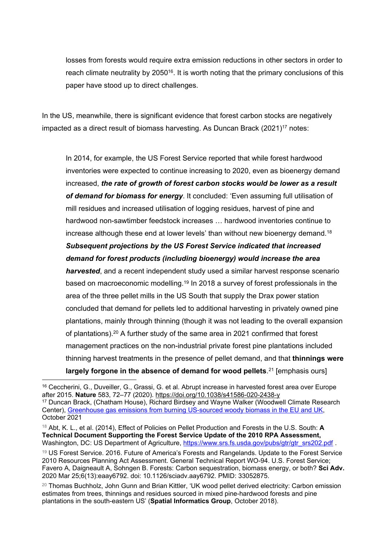losses from forests would require extra emission reductions in other sectors in order to reach climate neutrality by 2050<sup>16</sup>. It is worth noting that the primary conclusions of this paper have stood up to direct challenges.

In the US, meanwhile, there is significant evidence that forest carbon stocks are negatively impacted as a direct result of biomass harvesting. As Duncan Brack (2021)<sup>17</sup> notes:

In 2014, for example, the US Forest Service reported that while forest hardwood inventories were expected to continue increasing to 2020, even as bioenergy demand increased, *the rate of growth of forest carbon stocks would be lower as a result of demand for biomass for energy*. It concluded: 'Even assuming full utilisation of mill residues and increased utilisation of logging residues, harvest of pine and hardwood non-sawtimber feedstock increases … hardwood inventories continue to increase although these end at lower levels' than without new bioenergy demand.<sup>18</sup> *Subsequent projections by the US Forest Service indicated that increased demand for forest products (including bioenergy) would increase the area harvested*, and a recent independent study used a similar harvest response scenario based on macroeconomic modelling.<sup>19</sup> In 2018 a survey of forest professionals in the area of the three pellet mills in the US South that supply the Drax power station concluded that demand for pellets led to additional harvesting in privately owned pine plantations, mainly through thinning (though it was not leading to the overall expansion of plantations).<sup>20</sup> A further study of the same area in 2021 confirmed that forest management practices on the non-industrial private forest pine plantations included thinning harvest treatments in the presence of pellet demand, and that **thinnings were largely forgone in the absence of demand for wood pellets**. <sup>21</sup> [emphasis ours]

<sup>16</sup> Ceccherini, G., Duveiller, G., Grassi, G. et al. Abrupt increase in harvested forest area over Europe after 2015. **Nature** 583, 72–77 (2020). <https://doi.org/10.1038/s41586-020-2438-y> <sup>17</sup> Duncan Brack, (Chatham House), Richard Birdsey and Wayne Walker (Woodwell Climate Research

Center), [Greenhouse](https://www.chathamhouse.org/2021/10/greenhouse-gas-emissions-burning-us-sourced-woody-biomass-eu-and-uk) [gas](https://www.chathamhouse.org/2021/10/greenhouse-gas-emissions-burning-us-sourced-woody-biomass-eu-and-uk) [emissions](https://www.chathamhouse.org/2021/10/greenhouse-gas-emissions-burning-us-sourced-woody-biomass-eu-and-uk) [from](https://www.chathamhouse.org/2021/10/greenhouse-gas-emissions-burning-us-sourced-woody-biomass-eu-and-uk) [burning](https://www.chathamhouse.org/2021/10/greenhouse-gas-emissions-burning-us-sourced-woody-biomass-eu-and-uk) [US-sourced](https://www.chathamhouse.org/2021/10/greenhouse-gas-emissions-burning-us-sourced-woody-biomass-eu-and-uk) [woody](https://www.chathamhouse.org/2021/10/greenhouse-gas-emissions-burning-us-sourced-woody-biomass-eu-and-uk) [biomass](https://www.chathamhouse.org/2021/10/greenhouse-gas-emissions-burning-us-sourced-woody-biomass-eu-and-uk) [in](https://www.chathamhouse.org/2021/10/greenhouse-gas-emissions-burning-us-sourced-woody-biomass-eu-and-uk) [the](https://www.chathamhouse.org/2021/10/greenhouse-gas-emissions-burning-us-sourced-woody-biomass-eu-and-uk) [EU](https://www.chathamhouse.org/2021/10/greenhouse-gas-emissions-burning-us-sourced-woody-biomass-eu-and-uk) [and](https://www.chathamhouse.org/2021/10/greenhouse-gas-emissions-burning-us-sourced-woody-biomass-eu-and-uk) [UK](https://www.chathamhouse.org/2021/10/greenhouse-gas-emissions-burning-us-sourced-woody-biomass-eu-and-uk), October 2021

<sup>18</sup> Abt, K. L., et al. (2014), Effect of Policies on Pellet Production and Forests in the U.S. South: **A Technical Document Supporting the Forest Service Update of the 2010 RPA Assessment,** Washington, DC: US Department of Agriculture, [https://www.srs.fs.usda.gov/pubs/gtr/gtr\\_srs202.pdf](https://www.srs.fs.usda.gov/pubs/gtr/gtr_srs202.pdf) .

<sup>19</sup> US Forest Service. 2016. Future of America's Forests and Rangelands. Update to the Forest Service 2010 Resources Planning Act Assessment. General Technical Report WO-94. U.S. Forest Service; Favero A, Daigneault A, Sohngen B. Forests: Carbon sequestration, biomass energy, or both? **Sci Adv.** 2020 Mar 25;6(13):eaay6792. doi: 10.1126/sciadv.aay6792. PMID: 33052875.

<sup>&</sup>lt;sup>20</sup> Thomas Buchholz, John Gunn and Brian Kittler, 'UK wood pellet derived electricity: Carbon emission estimates from trees, thinnings and residues sourced in mixed pine-hardwood forests and pine plantations in the south-eastern US' (**Spatial Informatics Group**, October 2018).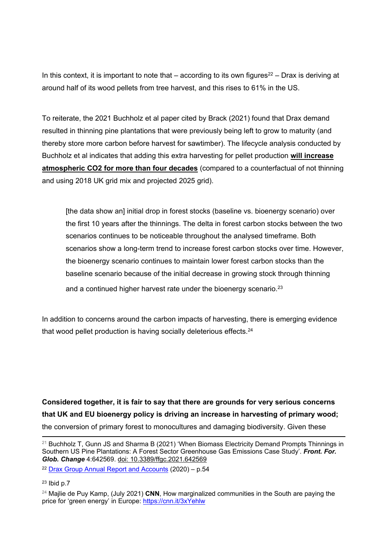In this context, it is important to note that  $-$  according to its own figures<sup>22</sup> – Drax is deriving at around half of its wood pellets from tree harvest, and this rises to 61% in the US.

To reiterate, the 2021 Buchholz et al paper cited by Brack (2021) found that Drax demand resulted in thinning pine plantations that were previously being left to grow to maturity (and thereby store more carbon before harvest for sawtimber). The lifecycle analysis conducted by Buchholz et al indicates that adding this extra harvesting for pellet production **will increase atmospheric CO2 for more than four decades** (compared to a counterfactual of not thinning and using 2018 UK grid mix and projected 2025 grid).

[the data show an] initial drop in forest stocks (baseline vs. bioenergy scenario) over the first 10 years after the thinnings. The delta in forest carbon stocks between the two scenarios continues to be noticeable throughout the analysed timeframe. Both scenarios show a long-term trend to increase forest carbon stocks over time. However, the bioenergy scenario continues to maintain lower forest carbon stocks than the baseline scenario because of the initial decrease in growing stock through thinning and a continued higher harvest rate under the bioenergy scenario.<sup>23</sup>

In addition to concerns around the carbon impacts of harvesting, there is emerging evidence that wood pellet production is having socially deleterious effects.<sup>24</sup>

**Considered together, it is fair to say that there are grounds for very serious concerns that UK and EU bioenergy policy is driving an increase in harvesting of primary wood;** the conversion of primary forest to monocultures and damaging biodiversity. Given these

 $21$  Buchholz T, Gunn JS and Sharma B (2021) 'When Biomass Electricity Demand Prompts Thinnings in Southern US Pine Plantations: A Forest Sector Greenhouse Gas Emissions Case Study'. *Front. For. Glob. Change* 4:642569. [doi:](https://www.frontiersin.org/articles/10.3389/ffgc.2021.642569/full) [10.3389/ffgc.2021.642569](https://www.frontiersin.org/articles/10.3389/ffgc.2021.642569/full)

<sup>22</sup> [Drax](https://www.drax.com/investors/announcements-events-reports/annual-reports-and-accounts/) [Group](https://www.drax.com/investors/announcements-events-reports/annual-reports-and-accounts/) [Annual](https://www.drax.com/investors/announcements-events-reports/annual-reports-and-accounts/) [Report](https://www.drax.com/investors/announcements-events-reports/annual-reports-and-accounts/) [and](https://www.drax.com/investors/announcements-events-reports/annual-reports-and-accounts/) [Accounts](https://www.drax.com/investors/announcements-events-reports/annual-reports-and-accounts/) (2020) – p.54

<sup>23</sup> Ibid p.7

<sup>24</sup> Majlie de Puy Kamp, (July 2021) **CNN**, How marginalized communities in the South are paying the price for 'green energy' in Europe: <https://cnn.it/3xYehlw>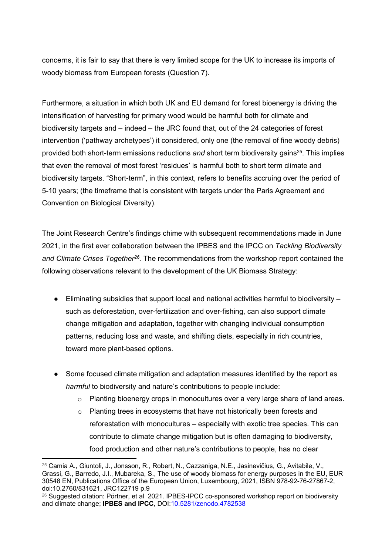concerns, it is fair to say that there is very limited scope for the UK to increase its imports of woody biomass from European forests (Question 7).

Furthermore, a situation in which both UK and EU demand for forest bioenergy is driving the intensification of harvesting for primary wood would be harmful both for climate and biodiversity targets and – indeed – the JRC found that, out of the 24 categories of forest intervention ('pathway archetypes') it considered, only one (the removal of fine woody debris) provided both short-term emissions reductions and short term biodiversity gains<sup>25</sup>. This implies that even the removal of most forest 'residues' is harmful both to short term climate and biodiversity targets. "Short-term", in this context, refers to benefits accruing over the period of 5-10 years; (the timeframe that is consistent with targets under the Paris Agreement and Convention on Biological Diversity).

The Joint Research Centre's findings chime with subsequent recommendations made in June 2021, in the first ever collaboration between the IPBES and the IPCC on *Tackling Biodiversity and Climate Crises Together<sup>26</sup> .* The recommendations from the workshop report contained the following observations relevant to the development of the UK Biomass Strategy:

- Eliminating subsidies that support local and national activities harmful to biodiversity such as deforestation, over-fertilization and over-fishing, can also support climate change mitigation and adaptation, together with changing individual consumption patterns, reducing loss and waste, and shifting diets, especially in rich countries, toward more plant-based options.
- Some focused climate mitigation and adaptation measures identified by the report as *harmful* to biodiversity and nature's contributions to people include:
	- $\circ$  Planting bioenergy crops in monocultures over a very large share of land areas.
	- o Planting trees in ecosystems that have not historically been forests and reforestation with monocultures – especially with exotic tree species. This can contribute to climate change mitigation but is often damaging to biodiversity, food production and other nature's contributions to people, has no clear

<sup>25</sup> Camia A., Giuntoli, J., Jonsson, R., Robert, N., Cazzaniga, N.E., Jasinevičius, G., Avitabile, V., Grassi, G., Barredo, J.I., Mubareka, S., The use of woody biomass for energy purposes in the EU, EUR 30548 EN, Publications Office of the European Union, Luxembourg, 2021, ISBN 978-92-76-27867-2, doi:10.2760/831621, JRC122719 p.9

<sup>&</sup>lt;sup>26</sup> Suggested citation: Pörtner, et al 2021. IPBES-IPCC co-sponsored workshop report on biodiversity and climate change; **IPBES and IPCC**, DOI[:10.5281/zenodo.4782538](https://zenodo.org/record/5101133#.YPGS8EAo_Qwhttps://zenodo.org/record/5101133)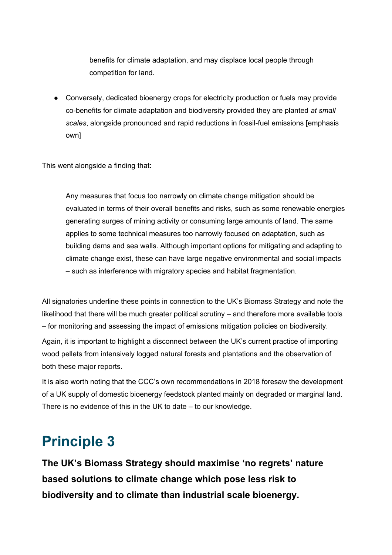benefits for climate adaptation, and may displace local people through competition for land.

● Conversely, dedicated bioenergy crops for electricity production or fuels may provide co-benefits for climate adaptation and biodiversity provided they are planted *at small scales*, alongside pronounced and rapid reductions in fossil-fuel emissions [emphasis own]

This went alongside a finding that:

Any measures that focus too narrowly on climate change mitigation should be evaluated in terms of their overall benefits and risks, such as some renewable energies generating surges of mining activity or consuming large amounts of land. The same applies to some technical measures too narrowly focused on adaptation, such as building dams and sea walls. Although important options for mitigating and adapting to climate change exist, these can have large negative environmental and social impacts – such as interference with migratory species and habitat fragmentation.

All signatories underline these points in connection to the UK's Biomass Strategy and note the likelihood that there will be much greater political scrutiny – and therefore more available tools – for monitoring and assessing the impact of emissions mitigation policies on biodiversity. Again, it is important to highlight a disconnect between the UK's current practice of importing wood pellets from intensively logged natural forests and plantations and the observation of both these major reports.

It is also worth noting that the CCC's own recommendations in 2018 foresaw the development of a UK supply of domestic bioenergy feedstock planted mainly on degraded or marginal land. There is no evidence of this in the UK to date – to our knowledge.

### **Principle 3**

**The UK's Biomass Strategy should maximise 'no regrets' nature based solutions to climate change which pose less risk to biodiversity and to climate than industrial scale bioenergy.**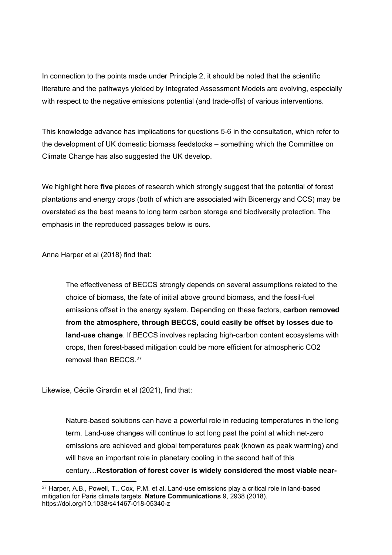In connection to the points made under Principle 2, it should be noted that the scientific literature and the pathways yielded by Integrated Assessment Models are evolving, especially with respect to the negative emissions potential (and trade-offs) of various interventions.

This knowledge advance has implications for questions 5-6 in the consultation, which refer to the development of UK domestic biomass feedstocks – something which the Committee on Climate Change has also suggested the UK develop.

We highlight here **five** pieces of research which strongly suggest that the potential of forest plantations and energy crops (both of which are associated with Bioenergy and CCS) may be overstated as the best means to long term carbon storage and biodiversity protection. The emphasis in the reproduced passages below is ours.

Anna Harper et al (2018) find that:

The effectiveness of BECCS strongly depends on several assumptions related to the choice of biomass, the fate of initial above ground biomass, and the fossil-fuel emissions offset in the energy system. Depending on these factors, **carbon removed from the atmosphere, through BECCS, could easily be offset by losses due to land-use change**. If BECCS involves replacing high-carbon content ecosystems with crops, then forest-based mitigation could be more efficient for atmospheric CO2 removal than BECCS 27

Likewise, Cécile Girardin et al (2021), find that:

Nature-based solutions can have a powerful role in reducing temperatures in the long term. Land-use changes will continue to act long past the point at which net-zero emissions are achieved and global temperatures peak (known as peak warming) and will have an important role in planetary cooling in the second half of this century…**Restoration of forest cover is widely considered the most viable near-**

 $27$  Harper, A.B., Powell, T., Cox, P.M. et al. Land-use emissions play a critical role in land-based mitigation for Paris climate targets. **Nature Communications** 9, 2938 (2018). <https://doi.org/10.1038/s41467-018-05340-z>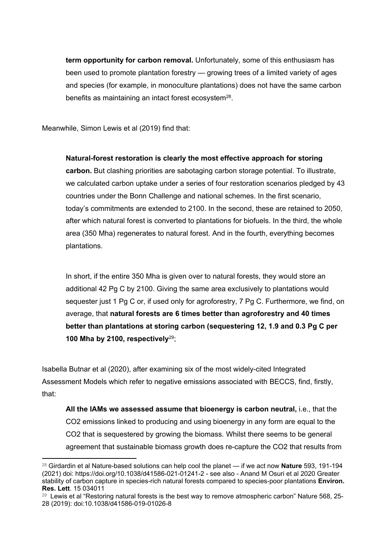**term opportunity for carbon removal.** Unfortunately, some of this enthusiasm has been used to promote plantation forestry — growing trees of a limited variety of ages and species (for example, in monoculture plantations) does not have the same carbon benefits as maintaining an intact forest ecosystem<sup>28</sup>.

Meanwhile, Simon Lewis et al (2019) find that:

**Natural-forest restoration is clearly the most effective approach for storing carbon.** But clashing priorities are sabotaging carbon storage potential. To illustrate, we calculated carbon uptake under a series of four restoration scenarios pledged by 43 countries under the Bonn Challenge and national schemes. In the first scenario, today's commitments are extended to 2100. In the second, these are retained to 2050, after which natural forest is converted to plantations for biofuels. In the third, the whole area (350 Mha) regenerates to natural forest. And in the fourth, everything becomes plantations.

In short, if the entire 350 Mha is given over to natural forests, they would store an additional 42 Pg C by 2100. Giving the same area exclusively to plantations would sequester just 1 Pg C or, if used only for agroforestry, 7 Pg C. Furthermore, we find, on average, that **natural forests are 6 times better than agroforestry and 40 times better than plantations at storing carbon (sequestering 12, 1.9 and 0.3 Pg C per 100 Mha by 2100, respectively**<sup>29</sup>;

Isabella Butnar et al (2020), after examining six of the most widely-cited Integrated Assessment Models which refer to negative emissions associated with BECCS, find, firstly, that:

**All the IAMs we assessed assume that bioenergy is carbon neutral,** i.e., that the CO2 emissions linked to producing and using bioenergy in any form are equal to the CO2 that is sequestered by growing the biomass. Whilst there seems to be general agreement that sustainable biomass growth does re-capture the CO2 that results from

<sup>28</sup> Girdardin et al Nature-based solutions can help cool the planet — if we act now **Nature** 593, 191-194 (2021) doi: <https://doi.org/10.1038/d41586-021-01241-2> - see also - Anand M Osuri et al 2020 Greater stability of carbon capture in species-rich natural forests compared to species-poor plantations **Environ. Res. Lett**. 15 034011

<sup>&</sup>lt;sup>29</sup> Lewis et al "Restoring natural forests is the best way to remove atmospheric carbon" Nature 568, 25-28 (2019): doi:10.1038/d41586-019-01026-8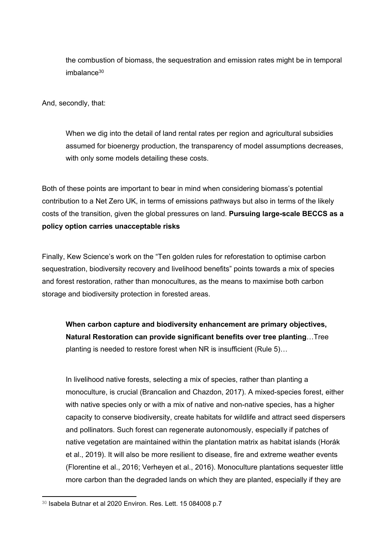the combustion of biomass, the sequestration and emission rates might be in temporal  $imhalance<sup>30</sup>$ 

And, secondly, that:

When we dig into the detail of land rental rates per region and agricultural subsidies assumed for bioenergy production, the transparency of model assumptions decreases, with only some models detailing these costs.

Both of these points are important to bear in mind when considering biomass's potential contribution to a Net Zero UK, in terms of emissions pathways but also in terms of the likely costs of the transition, given the global pressures on land. **Pursuing large-scale BECCS as a policy option carries unacceptable risks**

Finally, Kew Science's work on the "Ten golden rules for reforestation to optimise carbon sequestration, biodiversity recovery and livelihood benefits" points towards a mix of species and forest restoration, rather than monocultures, as the means to maximise both carbon storage and biodiversity protection in forested areas.

**When carbon capture and biodiversity enhancement are primary objectives, Natural Restoration can provide significant benefits over tree planting**…Tree planting is needed to restore forest when NR is insufficient (Rule 5)…

In livelihood native forests, selecting a mix of species, rather than planting a monoculture, is crucial (Brancalion and Chazdon, 2017). A mixed-species forest, either with native species only or with a mix of native and non-native species, has a higher capacity to conserve biodiversity, create habitats for wildlife and attract seed dispersers and pollinators. Such forest can regenerate autonomously, especially if patches of native vegetation are maintained within the plantation matrix as habitat islands (Horák et al., 2019). It will also be more resilient to disease, fire and extreme weather events (Florentine et al., 2016; Verheyen et al., 2016). Monoculture plantations sequester little more carbon than the degraded lands on which they are planted, especially if they are

<sup>30</sup> Isabela Butnar et al 2020 Environ. Res. Lett. 15 084008 p.7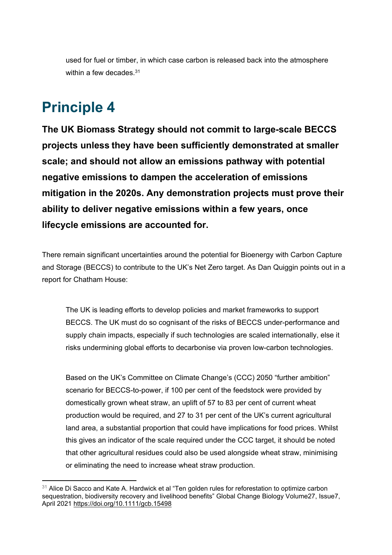used for fuel or timber, in which case carbon is released back into the atmosphere within a few decades  $31$ 

## **Principle 4**

**The UK Biomass Strategy should not commit to large-scale BECCS projects unless they have been sufficiently demonstrated at smaller scale; and should not allow an emissions pathway with potential negative emissions to dampen the acceleration of emissions mitigation in the 2020s. Any demonstration projects must prove their ability to deliver negative emissions within a few years, once lifecycle emissions are accounted for.**

There remain significant uncertainties around the potential for Bioenergy with Carbon Capture and Storage (BECCS) to contribute to the UK's Net Zero target. As Dan Quiggin points out in a report for Chatham House:

The UK is leading efforts to develop policies and market frameworks to support BECCS. The UK must do so cognisant of the risks of BECCS under-performance and supply chain impacts, especially if such technologies are scaled internationally, else it risks undermining global efforts to decarbonise via proven low-carbon technologies.

Based on the UK's Committee on Climate Change's (CCC) 2050 "further ambition" scenario for BECCS-to-power, if 100 per cent of the feedstock were provided by domestically grown wheat straw, an uplift of 57 to 83 per cent of current wheat production would be required, and 27 to 31 per cent of the UK's current agricultural land area, a substantial proportion that could have implications for food prices. Whilst this gives an indicator of the scale required under the CCC target, it should be noted that other agricultural residues could also be used alongside wheat straw, minimising or eliminating the need to increase wheat straw production.

 $31$  Alice Di Sacco and Kate A. Hardwick et al "Ten golden rules for reforestation to optimize carbon sequestration, biodiversity recovery and livelihood benefits" Global Change Biology Volume27, Issue7, April 2021 <https://doi.org/10.1111/gcb.15498>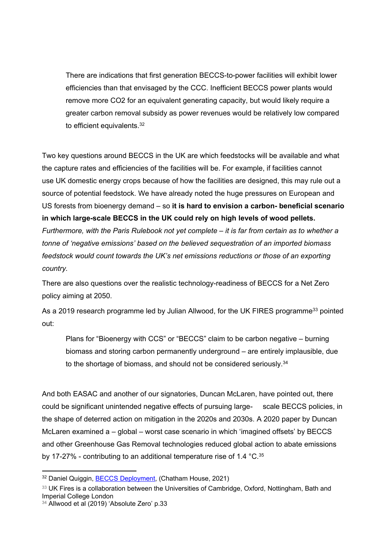There are indications that first generation BECCS-to-power facilities will exhibit lower efficiencies than that envisaged by the CCC. Inefficient BECCS power plants would remove more CO2 for an equivalent generating capacity, but would likely require a greater carbon removal subsidy as power revenues would be relatively low compared to efficient equivalents.<sup>32</sup>

Two key questions around BECCS in the UK are which feedstocks will be available and what the capture rates and efficiencies of the facilities will be. For example, if facilities cannot use UK domestic energy crops because of how the facilities are designed, this may rule out a source of potential feedstock. We have already noted the huge pressures on European and US forests from bioenergy demand – so **it is hard to envision a carbon- beneficial scenario in which large-scale BECCS in the UK could rely on high levels of wood pellets.** *Furthermore, with the Paris Rulebook not yet complete – it is far from certain as to whether a tonne of 'negative emissions' based on the believed sequestration of an imported biomass feedstock would count towards the UK's net emissions reductions or those of an exporting country.*

There are also questions over the realistic technology-readiness of BECCS for a Net Zero policy aiming at 2050.

As a 2019 research programme led by Julian Allwood, for the UK FIRES programme<sup>33</sup> pointed out:

Plans for "Bioenergy with CCS" or "BECCS" claim to be carbon negative – burning biomass and storing carbon permanently underground – are entirely implausible, due to the shortage of biomass, and should not be considered seriously.<sup>34</sup>

And both EASAC and another of our signatories, Duncan McLaren, have pointed out, there could be significant unintended negative effects of pursuing large- scale BECCS policies, in the shape of deterred action on mitigation in the 2020s and 2030s. A 2020 paper by Duncan McLaren examined a – global – worst case scenario in which 'imagined offsets' by BECCS and other Greenhouse Gas Removal technologies reduced global action to abate emissions by 17-27% - contributing to an additional temperature rise of 1.4 °C.<sup>35</sup>

<sup>32</sup> Daniel Quiggin, [BECCS](https://www.chathamhouse.org/2021/10/beccs-deployment) [Deployment,](https://www.chathamhouse.org/2021/10/beccs-deployment) (Chatham House, 2021)

<sup>&</sup>lt;sup>33</sup> UK Fires is a collaboration between the Universities of Cambridge, Oxford, Nottingham, Bath and Imperial College London

<sup>&</sup>lt;sup>34</sup> Allwood et al (2019) 'Absolute Zero' p.33